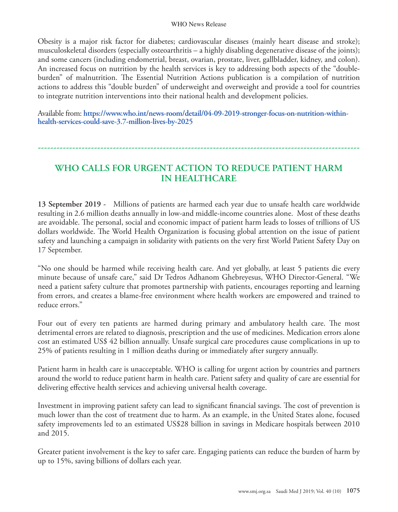## WHO News Release

Obesity is a major risk factor for diabetes; cardiovascular diseases (mainly heart disease and stroke); musculoskeletal disorders (especially osteoarthritis – a highly disabling degenerative disease of the joints); and some cancers (including endometrial, breast, ovarian, prostate, liver, gallbladder, kidney, and colon). An increased focus on nutrition by the health services is key to addressing both aspects of the "doubleburden" of malnutrition. The Essential Nutrition Actions publication is a compilation of nutrition actions to address this "double burden" of underweight and overweight and provide a tool for countries to integrate nutrition interventions into their national health and development policies.

Available from: **https://www.who.int/news-room/detail/04-09-2019-stronger-focus-on-nutrition-withinhealth-services-could-save-3.7-million-lives-by-2025**

## **WHO CALLS FOR URGENT ACTION TO REDUCE PATIENT HARM IN HEALTHCARE**

**-------------------------------------------------------------------------------------------------------**

**13 September 2019 -** Millions of patients are harmed each year due to unsafe health care worldwide resulting in 2.6 million deaths annually in low-and middle-income countries alone. Most of these deaths are avoidable. The personal, social and economic impact of patient harm leads to losses of trillions of US dollars worldwide. The World Health Organization is focusing global attention on the issue of patient safety and launching a campaign in solidarity with patients on the very first World Patient Safety Day on 17 September.

"No one should be harmed while receiving health care. And yet globally, at least 5 patients die every minute because of unsafe care," said Dr Tedros Adhanom Ghebreyesus, WHO Director-General. "We need a patient safety culture that promotes partnership with patients, encourages reporting and learning from errors, and creates a blame-free environment where health workers are empowered and trained to reduce errors."

Four out of every ten patients are harmed during primary and ambulatory health care. The most detrimental errors are related to diagnosis, prescription and the use of medicines. Medication errors alone cost an estimated US\$ 42 billion annually. Unsafe surgical care procedures cause complications in up to 25% of patients resulting in 1 million deaths during or immediately after surgery annually.

Patient harm in health care is unacceptable. WHO is calling for urgent action by countries and partners around the world to reduce patient harm in health care. Patient safety and quality of care are essential for delivering effective health services and achieving universal health coverage.

Investment in improving patient safety can lead to significant financial savings. The cost of prevention is much lower than the cost of treatment due to harm. As an example, in the United States alone, focused safety improvements led to an estimated US\$28 billion in savings in Medicare hospitals between 2010 and 2015.

Greater patient involvement is the key to safer care. Engaging patients can reduce the burden of harm by up to 15%, saving billions of dollars each year.